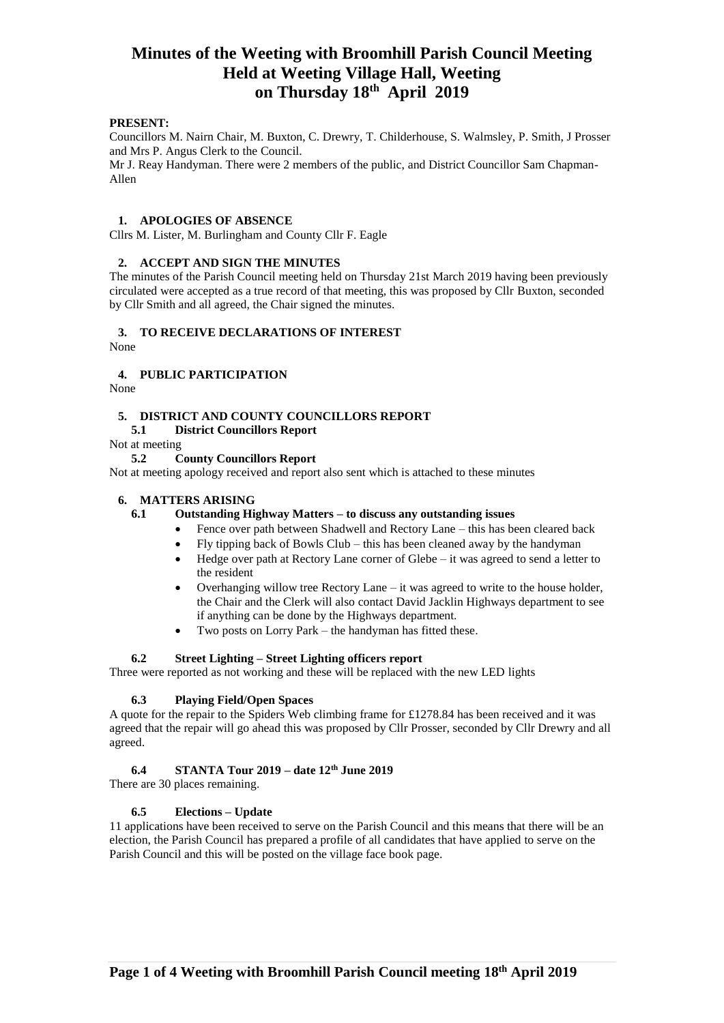## **PRESENT:**

Councillors M. Nairn Chair, M. Buxton, C. Drewry, T. Childerhouse, S. Walmsley, P. Smith, J Prosser and Mrs P. Angus Clerk to the Council.

Mr J. Reay Handyman. There were 2 members of the public, and District Councillor Sam Chapman-Allen

#### **1. APOLOGIES OF ABSENCE**

Cllrs M. Lister, M. Burlingham and County Cllr F. Eagle

## **2. ACCEPT AND SIGN THE MINUTES**

The minutes of the Parish Council meeting held on Thursday 21st March 2019 having been previously circulated were accepted as a true record of that meeting, this was proposed by Cllr Buxton, seconded by Cllr Smith and all agreed, the Chair signed the minutes.

## **3. TO RECEIVE DECLARATIONS OF INTEREST**

None

### **4. PUBLIC PARTICIPATION**

None

### **5. DISTRICT AND COUNTY COUNCILLORS REPORT**

# **5.1 District Councillors Report**

Not at meeting

## **5.2 County Councillors Report**

Not at meeting apology received and report also sent which is attached to these minutes

### **6. MATTERS ARISING**

## **6.1 Outstanding Highway Matters – to discuss any outstanding issues**

- Fence over path between Shadwell and Rectory Lane this has been cleared back
- Fly tipping back of Bowls Club this has been cleaned away by the handyman
	- Hedge over path at Rectory Lane corner of Glebe it was agreed to send a letter to the resident
- Overhanging willow tree Rectory Lane  $-$  it was agreed to write to the house holder, the Chair and the Clerk will also contact David Jacklin Highways department to see if anything can be done by the Highways department.
- Two posts on Lorry Park the handyman has fitted these.

### **6.2 Street Lighting – Street Lighting officers report**

Three were reported as not working and these will be replaced with the new LED lights

## **6.3 Playing Field/Open Spaces**

A quote for the repair to the Spiders Web climbing frame for £1278.84 has been received and it was agreed that the repair will go ahead this was proposed by Cllr Prosser, seconded by Cllr Drewry and all agreed.

## **6.4 STANTA Tour 2019 – date 12th June 2019**

There are 30 places remaining.

## **6.5 Elections – Update**

11 applications have been received to serve on the Parish Council and this means that there will be an election, the Parish Council has prepared a profile of all candidates that have applied to serve on the Parish Council and this will be posted on the village face book page.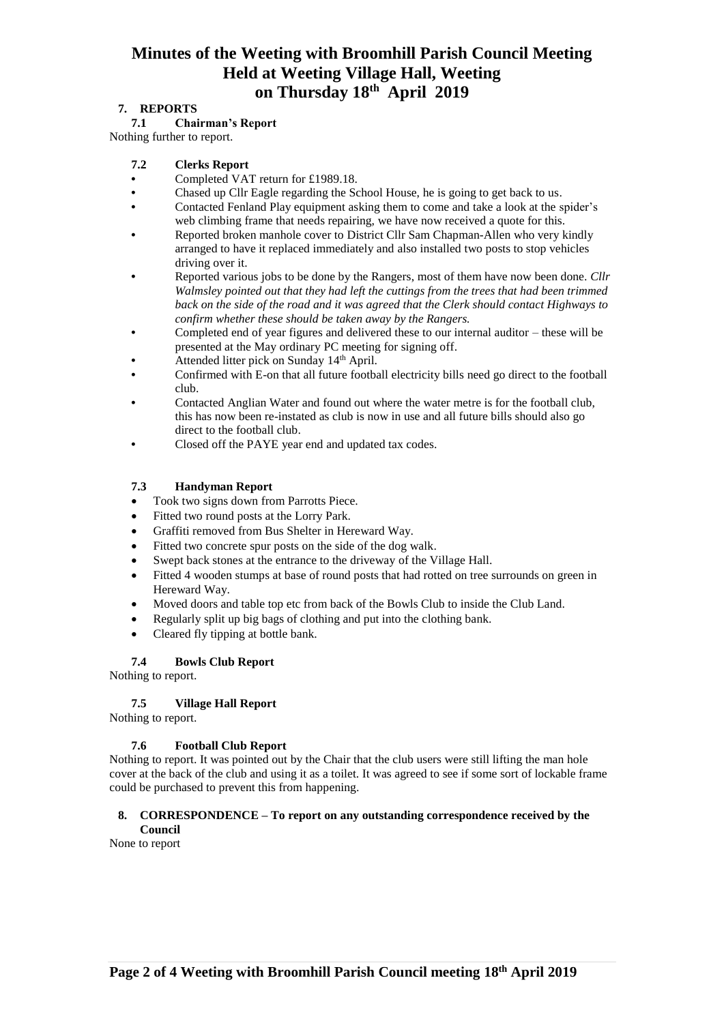# **7. REPORTS**

## **7.1 Chairman's Report**

Nothing further to report.

## **7.2 Clerks Report**

- **•** Completed VAT return for £1989.18.
- **•** Chased up Cllr Eagle regarding the School House, he is going to get back to us.
- **•** Contacted Fenland Play equipment asking them to come and take a look at the spider's web climbing frame that needs repairing, we have now received a quote for this.
- **•** Reported broken manhole cover to District Cllr Sam Chapman-Allen who very kindly arranged to have it replaced immediately and also installed two posts to stop vehicles driving over it.
- **•** Reported various jobs to be done by the Rangers, most of them have now been done. *Cllr Walmsley pointed out that they had left the cuttings from the trees that had been trimmed back on the side of the road and it was agreed that the Clerk should contact Highways to confirm whether these should be taken away by the Rangers.*
- **•** Completed end of year figures and delivered these to our internal auditor these will be presented at the May ordinary PC meeting for signing off.
- Attended litter pick on Sunday 14<sup>th</sup> April.
- **•** Confirmed with E-on that all future football electricity bills need go direct to the football club.
- **•** Contacted Anglian Water and found out where the water metre is for the football club, this has now been re-instated as club is now in use and all future bills should also go direct to the football club.
- **•** Closed off the PAYE year end and updated tax codes.

# **7.3 Handyman Report**

- Took two signs down from Parrotts Piece.
- Fitted two round posts at the Lorry Park.
- Graffiti removed from Bus Shelter in Hereward Way.
- Fitted two concrete spur posts on the side of the dog walk.
- Swept back stones at the entrance to the driveway of the Village Hall.
- Fitted 4 wooden stumps at base of round posts that had rotted on tree surrounds on green in Hereward Way.
- Moved doors and table top etc from back of the Bowls Club to inside the Club Land.
- Regularly split up big bags of clothing and put into the clothing bank.
- Cleared fly tipping at bottle bank.

# **7.4 Bowls Club Report**

Nothing to report.

# **7.5 Village Hall Report**

Nothing to report.

## **7.6 Football Club Report**

Nothing to report. It was pointed out by the Chair that the club users were still lifting the man hole cover at the back of the club and using it as a toilet. It was agreed to see if some sort of lockable frame could be purchased to prevent this from happening.

## **8. CORRESPONDENCE – To report on any outstanding correspondence received by the Council**

None to report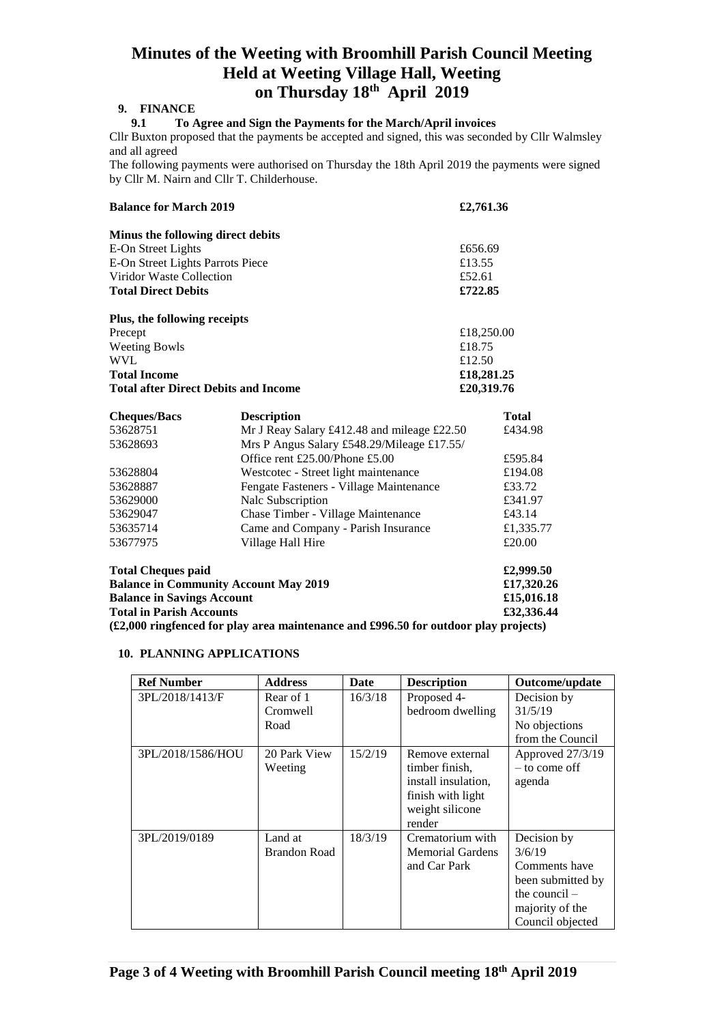## **9. FINANCE**

## **9.1 To Agree and Sign the Payments for the March/April invoices**

Cllr Buxton proposed that the payments be accepted and signed, this was seconded by Cllr Walmsley and all agreed

The following payments were authorised on Thursday the 18th April 2019 the payments were signed by Cllr M. Nairn and Cllr T. Childerhouse.

| <b>Balance for March 2019</b>               | £2,761.36                                         |              |  |  |
|---------------------------------------------|---------------------------------------------------|--------------|--|--|
| Minus the following direct debits           |                                                   |              |  |  |
| E-On Street Lights                          | £656.69                                           |              |  |  |
| E-On Street Lights Parrots Piece            | £13.55                                            |              |  |  |
| Viridor Waste Collection                    |                                                   | £52.61       |  |  |
| <b>Total Direct Debits</b>                  | £722.85                                           |              |  |  |
| Plus, the following receipts                |                                                   |              |  |  |
| Precept                                     |                                                   | £18,250.00   |  |  |
| <b>Weeting Bowls</b>                        |                                                   | £18.75       |  |  |
| <b>WVL</b>                                  |                                                   | £12.50       |  |  |
| <b>Total Income</b>                         |                                                   | £18,281.25   |  |  |
| <b>Total after Direct Debits and Income</b> |                                                   | £20,319.76   |  |  |
| <b>Cheques/Bacs</b>                         | <b>Description</b>                                | <b>Total</b> |  |  |
| 53628751                                    | Mr J Reay Salary £412.48 and mileage £22.50       | £434.98      |  |  |
| 53628693                                    | Mrs P Angus Salary £548.29/Mileage £17.55/        |              |  |  |
|                                             | Office rent £25.00/Phone £5.00                    | £595.84      |  |  |
| 53628804                                    | Westcotec - Street light maintenance              | £194.08      |  |  |
| 53628887                                    | Fengate Fasteners - Village Maintenance<br>£33.72 |              |  |  |
| 53629000                                    | Nalc Subscription                                 | £341.97      |  |  |
| 53629047                                    | Chase Timber - Village Maintenance                | £43.14       |  |  |
| 53635714                                    | Came and Company - Parish Insurance               | £1,335.77    |  |  |

| <b>Total Cheques paid</b>                                                                          | £2,999.50  |
|----------------------------------------------------------------------------------------------------|------------|
| <b>Balance in Community Account May 2019</b>                                                       | £17,320.26 |
| <b>Balance in Savings Account</b>                                                                  | £15,016.18 |
| <b>Total in Parish Accounts</b>                                                                    | £32,336.44 |
| $(\text{\pounds}2,000$ ringfenced for play area maintenance and £996.50 for outdoor play projects) |            |

53677975 Village Hall Hire  $\text{E20.00}$ 

## **10. PLANNING APPLICATIONS**

| <b>Ref Number</b> | <b>Address</b>      | Date    | <b>Description</b>                    | Outcome/update                      |
|-------------------|---------------------|---------|---------------------------------------|-------------------------------------|
| 3PL/2018/1413/F   | Rear of 1           | 16/3/18 | Proposed 4-                           | Decision by                         |
|                   | Cromwell            |         | bedroom dwelling                      | 31/5/19                             |
|                   | Road                |         |                                       | No objections                       |
|                   |                     |         |                                       | from the Council                    |
| 3PL/2018/1586/HOU | 20 Park View        | 15/2/19 | Remove external                       | Approved 27/3/19<br>$-$ to come off |
|                   | Weeting             |         | timber finish.<br>install insulation. |                                     |
|                   |                     |         | finish with light                     | agenda                              |
|                   |                     |         | weight silicone                       |                                     |
|                   |                     |         | render                                |                                     |
| 3PL/2019/0189     | Land at             | 18/3/19 | Crematorium with                      | Decision by                         |
|                   | <b>Brandon Road</b> |         | <b>Memorial Gardens</b>               | 3/6/19                              |
|                   |                     |         | and Car Park                          | Comments have                       |
|                   |                     |         |                                       | been submitted by                   |
|                   |                     |         |                                       | the council $-$                     |
|                   |                     |         |                                       | majority of the                     |
|                   |                     |         |                                       | Council objected                    |